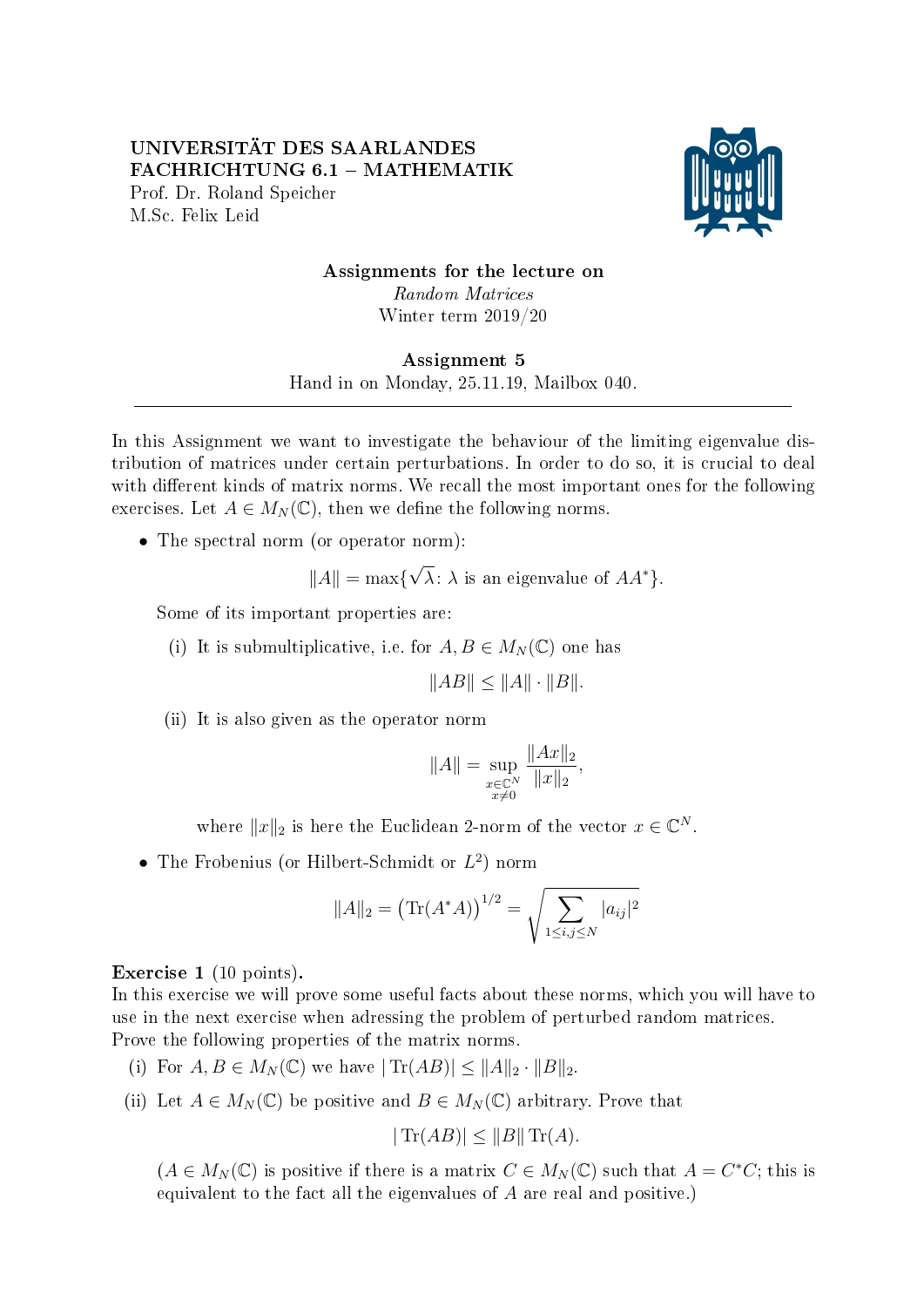## UNIVERSITÄT DES SAARLANDES FACHRICHTUNG 6.1 - MATHEMATIK Prof. Dr. Roland Speicher M.Sc. Felix Leid



## Assignments for the lecture on Random Matrices Winter term 2019/20

## Assignment 5

Hand in on Monday, 25.11.19, Mailbox 040. 

In this Assignment we want to investigate the behaviour of the limiting eigenvalue distribution of matrices under certain perturbations. In order to do so, it is crucial to deal with different kinds of matrix norms. We recall the most important ones for the following exercises. Let  $A \in M_N(\mathbb{C})$ , then we define the following norms.

• The spectral norm (or operator norm):

$$
||A|| = \max{\lbrace \sqrt{\lambda} : \lambda \text{ is an eigenvalue of } AA^* \rbrace}.
$$

Some of its important properties are:

(i) It is submultiplicative, i.e. for  $A, B \in M_N(\mathbb{C})$  one has

$$
||AB|| \le ||A|| \cdot ||B||.
$$

(ii) It is also given as the operator norm

$$
||A|| = \sup_{\substack{x \in \mathbb{C}^N \\ x \neq 0}} \frac{||Ax||_2}{||x||_2},
$$

where  $||x||_2$  is here the Euclidean 2-norm of the vector  $x \in \mathbb{C}^N$ .

• The Frobenius (or Hilbert-Schmidt or  $L^2$ ) norm

$$
||A||_2 = (\text{Tr}(A^*A))^{1/2} = \sqrt{\sum_{1 \le i,j \le N} |a_{ij}|^2}
$$

Exercise 1 (10 points).

In this exercise we will prove some useful facts about these norms, which you will have to use in the next exercise when adressing the problem of perturbed random matrices. Prove the following properties of the matrix norms.

- (i) For  $A, B \in M_N(\mathbb{C})$  we have  $|\text{Tr}(AB)| \leq ||A||_2 \cdot ||B||_2$ .
- (ii) Let  $A \in M_N(\mathbb{C})$  be positive and  $B \in M_N(\mathbb{C})$  arbitrary. Prove that

$$
|\operatorname{Tr}(AB)| \le ||B|| \operatorname{Tr}(A).
$$

 $(A \in M_N(\mathbb{C})$  is positive if there is a matrix  $C \in M_N(\mathbb{C})$  such that  $A = C^*C$ ; this is equivalent to the fact all the eigenvalues of A are real and positive.)